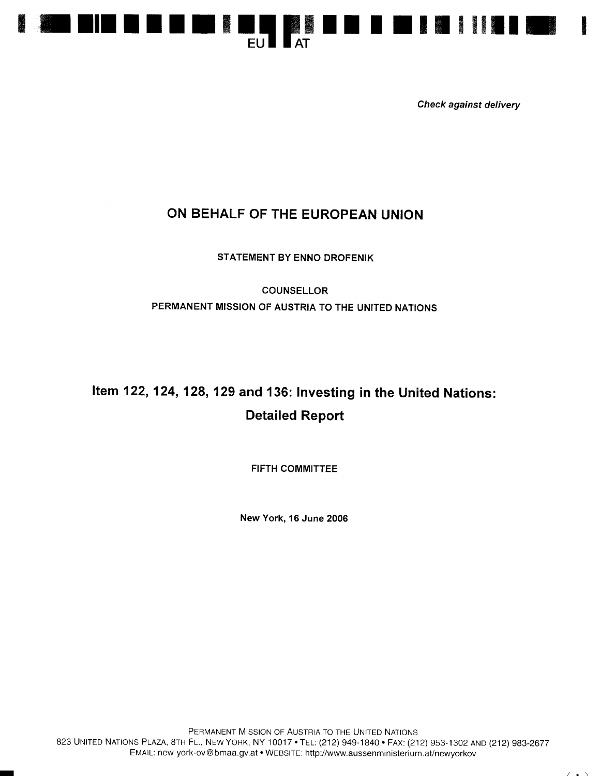

Check against delivery

## ON BEHALF OF THE EUROPEAN UNION

STATEMENT BY ENNO DROFENIK

COUNSELLOR PERMANENT MISSION OF AUSTRIA TO THE UNITED NATIONS

## Item 122, 124, 128, 129 and 136: Investing in the United Nations: Detailed Report

FIFTH COMMITTEE

New York, 16 June 2006

I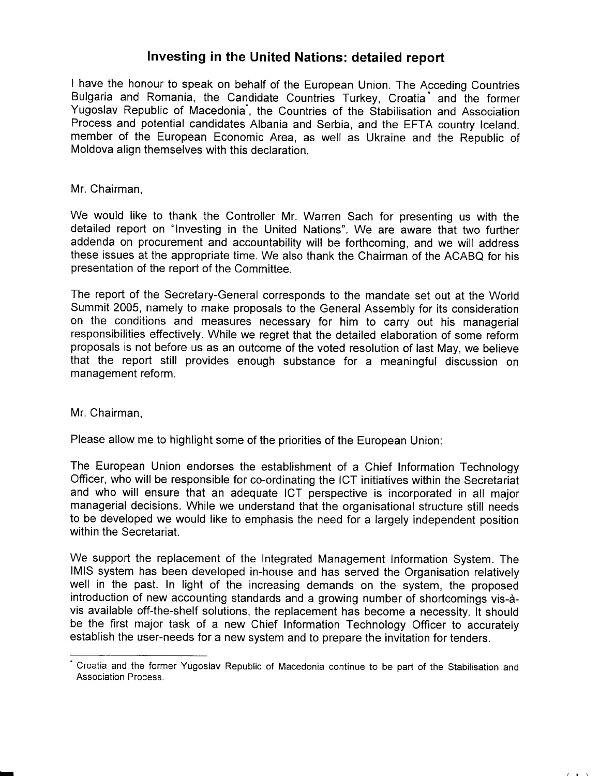## Investing in the United Nations: detailed report

I have the honour to speak on behalf of the European Union. The Acceding Countries Bulgaria and Romania, the Candidate Countries Turkey, Croatia<sup>\*</sup> and the former Yugoslav Republic of Macedonia<sup>\*</sup>, the Countries of the Stabilisation and Association Process and potential candidates Albania and Serbia, and the EFTA country lceland, member of the European Economic Area, as well as Ukraine and the Republic of Moldova align themselves with this declaration.

## Mr. Chairman,

We would like to thank the Controller Mr. Warren Sach for presenting us with the detailed report on "lnvesting in the United Nations". We are aware that two further addenda on procurement and accountability will be forthcoming, and we will address these issues at the appropriate time. We also thank the Chairman of the ACABQ for his presentation of the report of the Committee.

The report of the Secretary-General corresponds to the mandate set out at the World Summit 2005, namely to make proposals to the General Assembly for its consideration on the conditions and measures necessary for him to carry out his managerial responsibilities effectively. While we regret that the detailed elaboration of some reform proposals is not before us as an outcome of the voted resolution of last May, we believe that the report still provides enough substance for a meaningful discussion on management reform.

Mr. Chairman,

Please allow me to highlight some of the priorities of the European Union:

The European Union endorses the establishment of a Chief Information Technology Officer, who will be responsible for co-ordinating the ICT initiatives within the Secretariat and who will ensure that an adequate ICT perspective is incorporated in all major managerial decisions. While we understand that the organisational structure still needs to be developed we would like to emphasis the need for a largely independent position within the Secretariat.

We support the replacement of the Integrated Management Information System. The lMlS system has been developed in-house and has served the Organisation relatively well in the past. In light of the increasing demands on the system, the proposed introduction of new accounting standards and a growing number of shortcomings vis-dvis available off-the-shelf solutions, the replacement has become a necessity. lt should be the first major task of a new Chief Information Technology Officer to accurately establish the user-needs for a new system and to prepare the invitation for tenders.

 $\sqrt{1 + \lambda}$ 

<sup>&#</sup>x27; Croatia and the former Yugoslav Republic of Macedonia continue to be part of the Stabilisation and Association Process.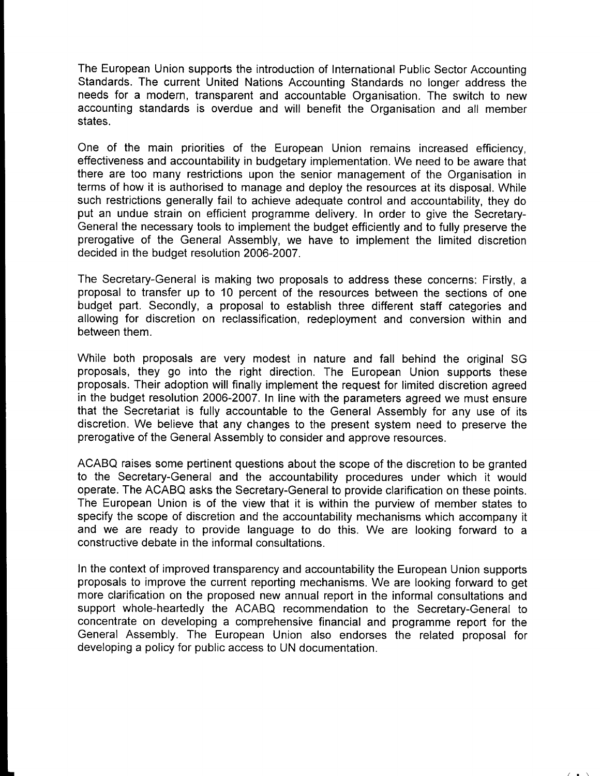The European Union supports the introduction of International Public Sector Accounting Standards. The current United Nations Accounting Standards no longer address the needs for a modern, transparent and accountable Organisation. The switch to new accounting standards is overdue and will benefit the Organisation and all member states.

One of the main priorities of the European Union remains increased efficiency, effectiveness and accountability in budgetary implementation. We need to be aware that there are too many restrictions upon the senior management of the Organisation in terms of how it is authorised to manage and deploy the resources at its disposal. While such restrictions generally fail to achieve adequate control and accountability, they do put an undue strain on efficient programme delivery. ln order to give the Secretary-General the necessary tools to implement the budget efficiently and to fully preserve the prerogative of the General Assembly, we have to implement the limited discretion decided in the budget resolution 2006-2007.

The Secretary-General is making two proposals to address these concerns: Firstly, a proposal to transfer up to 10 percent of the resources between the sections of one budget part. Secondly, a proposal to establish three different staff categories and allowing for discretion on reclassification, redeployment and conversion within and between them.

While both proposals are very modest in nature and fall behind the original SG proposals, they go into the right direction. The European Union supports these proposals. Their adoption will finally implement the request for limited discretion agreed in the budget resolution 2006-2007. In line with the parameters agreed we must ensure that the Secretariat is fully accountable to the General Assembly for any use of its discretion. We believe that any changes to the present system need to preserve the prerogative of the General Assembly to consider and approve resources.

ACABQ raises some pertinent questions about the scope of the discretion to be granted to the Secretary-General and the accountability procedures under which it would operate. The ACABQ asks the Secretary-General to provide clarification on these points. The European Union is of the view that it is within the purview of member states to specify the scope of discretion and the accountability mechanisms which accompany it and we are ready to provide language to do this. We are looking forward to a constructive debate in the informal consultations.

In the context of improved transparency and accountability the European Union supports proposals to improve the current reporting mechanisms. We are looking forward to get more clarification on the proposed new annual report in the informal consultations and support whole-heartedly the ACABQ recommendation to the Secretary-General to concentrate on developing a comprehensive financial and programme report for the General Assembly. The European Union also endorses the related proposal for developing a policy for public access to UN documentation.